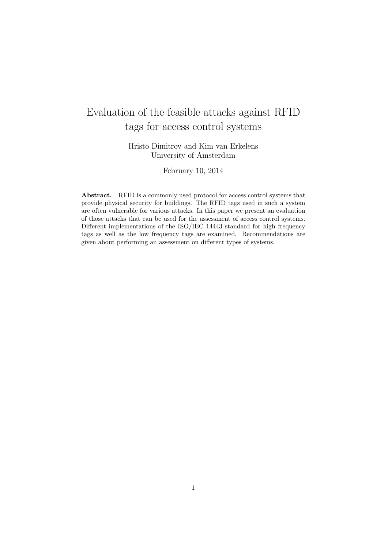# Evaluation of the feasible attacks against RFID tags for access control systems

Hristo Dimitrov and Kim van Erkelens University of Amsterdam

February 10, 2014

Abstract. RFID is a commonly used protocol for access control systems that provide physical security for buildings. The RFID tags used in such a system are often vulnerable for various attacks. In this paper we present an evaluation of those attacks that can be used for the assessment of access control systems. Different implementations of the ISO/IEC 14443 standard for high frequency tags as well as the low frequency tags are examined. Recommendations are given about performing an assessment on different types of systems.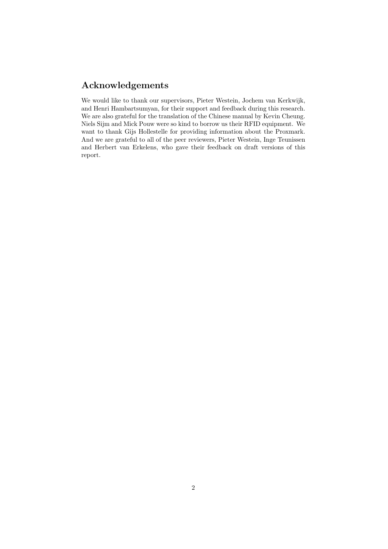# Acknowledgements

We would like to thank our supervisors, Pieter Westein, Jochem van Kerkwijk, and Henri Hambartsumyan, for their support and feedback during this research. We are also grateful for the translation of the Chinese manual by Kevin Cheung. Niels Sijm and Mick Pouw were so kind to borrow us their RFID equipment. We want to thank Gijs Hollestelle for providing information about the Proxmark. And we are grateful to all of the peer reviewers, Pieter Westein, Inge Teunissen and Herbert van Erkelens, who gave their feedback on draft versions of this report.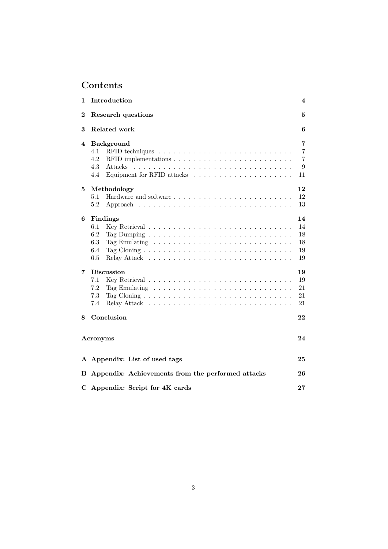# Contents

| 1                | Introduction<br>4                                               |                                     |  |  |  |  |  |  |  |  |  |
|------------------|-----------------------------------------------------------------|-------------------------------------|--|--|--|--|--|--|--|--|--|
| $\boldsymbol{2}$ | Research questions                                              |                                     |  |  |  |  |  |  |  |  |  |
| 3                | Related work<br>6                                               |                                     |  |  |  |  |  |  |  |  |  |
| 4                | <b>Background</b><br>4.1<br>4.2<br>4.3<br><b>Attacks</b><br>4.4 | 7<br>7<br>$\overline{7}$<br>9<br>11 |  |  |  |  |  |  |  |  |  |
| 5                | Methodology<br>5.1<br>5.2                                       | 12<br>12<br>13                      |  |  |  |  |  |  |  |  |  |
| 6                | Findings<br>6.1<br>6.2<br>6.3<br>6.4<br>6.5                     | 14<br>14<br>18<br>18<br>19<br>19    |  |  |  |  |  |  |  |  |  |
| $\overline{7}$   | <b>Discussion</b><br>7.1<br>7.2<br>7.3<br>7.4                   | 19<br>19<br>21<br>21<br>21          |  |  |  |  |  |  |  |  |  |
| 8                | Conclusion<br>Acronyms                                          | 22<br>24                            |  |  |  |  |  |  |  |  |  |
|                  | A Appendix: List of used tags                                   | 25                                  |  |  |  |  |  |  |  |  |  |
| $\bf{B}$         | Appendix: Achievements from the performed attacks               | 26                                  |  |  |  |  |  |  |  |  |  |
|                  | C Appendix: Script for 4K cards<br>27                           |                                     |  |  |  |  |  |  |  |  |  |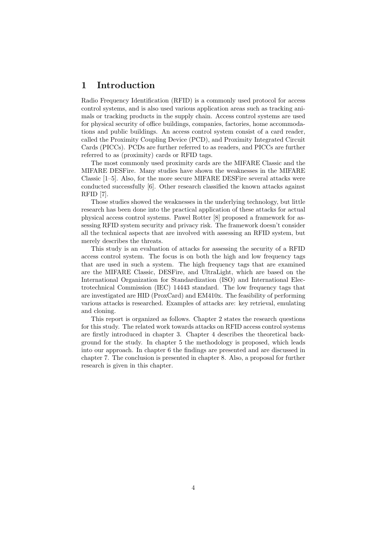# 1 Introduction

Radio Frequency Identification (RFID) is a commonly used protocol for access control systems, and is also used various application areas such as tracking animals or tracking products in the supply chain. Access control systems are used for physical security of office buildings, companies, factories, home accommodations and public buildings. An access control system consist of a card reader, called the Proximity Coupling Device (PCD), and Proximity Integrated Circuit Cards (PICCs). PCDs are further referred to as readers, and PICCs are further referred to as (proximity) cards or RFID tags.

The most commonly used proximity cards are the MIFARE Classic and the MIFARE DESFire. Many studies have shown the weaknesses in the MIFARE Classic [1–5]. Also, for the more secure MIFARE DESFire several attacks were conducted successfully [6]. Other research classified the known attacks against RFID [7].

Those studies showed the weaknesses in the underlying technology, but little research has been done into the practical application of these attacks for actual physical access control systems. Pawel Rotter [8] proposed a framework for assessing RFID system security and privacy risk. The framework doesn't consider all the technical aspects that are involved with assessing an RFID system, but merely describes the threats.

This study is an evaluation of attacks for assessing the security of a RFID access control system. The focus is on both the high and low frequency tags that are used in such a system. The high frequency tags that are examined are the MIFARE Classic, DESFire, and UltraLight, which are based on the International Organization for Standardization (ISO) and International Electrotechnical Commission (IEC) 14443 standard. The low frequency tags that are investigated are HID (ProxCard) and EM410x. The feasibility of performing various attacks is researched. Examples of attacks are: key retrieval, emulating and cloning.

This report is organized as follows. Chapter 2 states the research questions for this study. The related work towards attacks on RFID access control systems are firstly introduced in chapter 3. Chapter 4 describes the theoretical background for the study. In chapter 5 the methodology is proposed, which leads into our approach. In chapter 6 the findings are presented and are discussed in chapter 7. The conclusion is presented in chapter 8. Also, a proposal for further research is given in this chapter.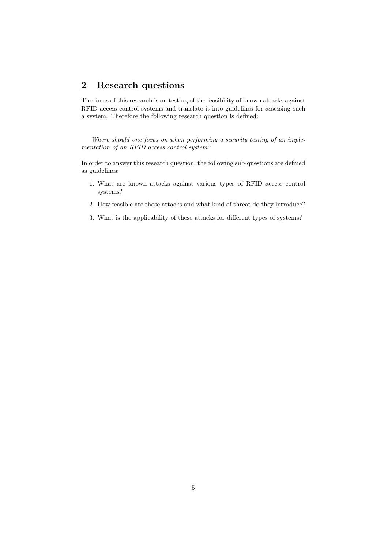# 2 Research questions

The focus of this research is on testing of the feasibility of known attacks against RFID access control systems and translate it into guidelines for assessing such a system. Therefore the following research question is defined:

Where should one focus on when performing a security testing of an implementation of an RFID access control system?

In order to answer this research question, the following sub-questions are defined as guidelines:

- 1. What are known attacks against various types of RFID access control systems?
- 2. How feasible are those attacks and what kind of threat do they introduce?
- 3. What is the applicability of these attacks for different types of systems?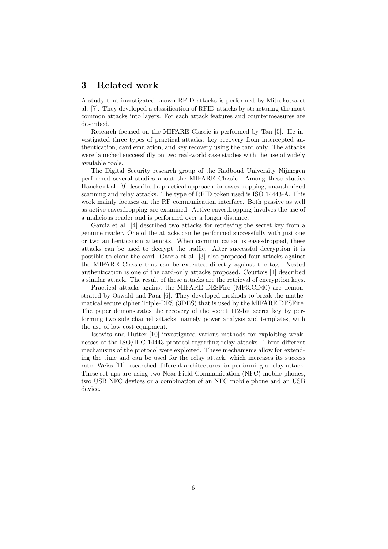# 3 Related work

A study that investigated known RFID attacks is performed by Mitrokotsa et al. [7]. They developed a classification of RFID attacks by structuring the most common attacks into layers. For each attack features and countermeasures are described.

Research focused on the MIFARE Classic is performed by Tan [5]. He investigated three types of practical attacks: key recovery from intercepted authentication, card emulation, and key recovery using the card only. The attacks were launched successfully on two real-world case studies with the use of widely available tools.

The Digital Security research group of the Radboud University Nijmegen performed several studies about the MIFARE Classic. Among these studies Hancke et al. [9] described a practical approach for eavesdropping, unauthorized scanning and relay attacks. The type of RFID token used is ISO 14443-A. This work mainly focuses on the RF communication interface. Both passive as well as active eavesdropping are examined. Active eavesdropping involves the use of a malicious reader and is performed over a longer distance.

Garcia et al. [4] described two attacks for retrieving the secret key from a genuine reader. One of the attacks can be performed successfully with just one or two authentication attempts. When communication is eavesdropped, these attacks can be used to decrypt the traffic. After successful decryption it is possible to clone the card. Garcia et al. [3] also proposed four attacks against the MIFARE Classic that can be executed directly against the tag. Nested authentication is one of the card-only attacks proposed. Courtois [1] described a similar attack. The result of these attacks are the retrieval of encryption keys.

Practical attacks against the MIFARE DESFire (MF3ICD40) are demonstrated by Oswald and Paar [6]. They developed methods to break the mathematical secure cipher Triple-DES (3DES) that is used by the MIFARE DESFire. The paper demonstrates the recovery of the secret 112-bit secret key by performing two side channel attacks, namely power analysis and templates, with the use of low cost equipment.

Issovits and Hutter [10] investigated various methods for exploiting weaknesses of the ISO/IEC 14443 protocol regarding relay attacks. Three different mechanisms of the protocol were exploited. These mechanisms allow for extending the time and can be used for the relay attack, which increases its success rate. Weiss [11] researched different architectures for performing a relay attack. These set-ups are using two Near Field Communication (NFC) mobile phones, two USB NFC devices or a combination of an NFC mobile phone and an USB device.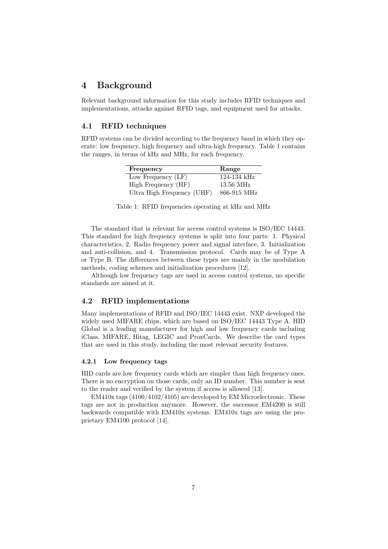# 4 Background

Relevant background information for this study includes RFID techniques and implementations, attacks against RFID tags, and equipment used for attacks.

### 4.1 RFID techniques

RFID systems can be divided according to the frequency band in which they operate: low frequency, high frequency and ultra-high frequency. Table 1 contains the ranges, in terms of kHz and MHz, for each frequency.

| Frequency                  | Range           |
|----------------------------|-----------------|
| Low Frequency (LF)         | $124 - 134$ kHz |
| High Frequency (HF)        | $13.56$ MHz     |
| Ultra High Frequency (UHF) | 866-915 MHz     |

Table 1: RFID frequencies operating at kHz and MHz

The standard that is relevant for access control systems is ISO/IEC 14443. This standard for high frequency systems is split into four parts: 1. Physical characteristics, 2. Radio frequency power and signal interface, 3. Initialization and anti-collision, and 4. Transmission protocol. Cards may be of Type A or Type B. The differences between these types are mainly in the modulation methods, coding schemes and initialization procedures [12].

Although low frequency tags are used in access control systems, no specific standards are aimed at it.

## 4.2 RFID implementations

Many implementations of RFID and ISO/IEC 14443 exist. NXP developed the widely used MIFARE chips, which are based on ISO/IEC 14443 Type A. HID Global is a leading manufacturer for high and low frequency cards including iClass, MIFARE, Hitag, LEGIC and ProxCards. We describe the card types that are used in this study, including the most relevant security features.

#### 4.2.1 Low frequency tags

HID cards are low frequency cards which are simpler than high frequency ones. There is no encryption on those cards, only an ID number. This number is sent to the reader and verified by the system if access is allowed [13].

EM410x tags (4100/4102/4105) are developed by EM Microelectronic. These tags are not in production anymore. However, the successor EM4200 is still backwards compatible with EM410x systems. EM410x tags are using the proprietary EM4100 protocol [14].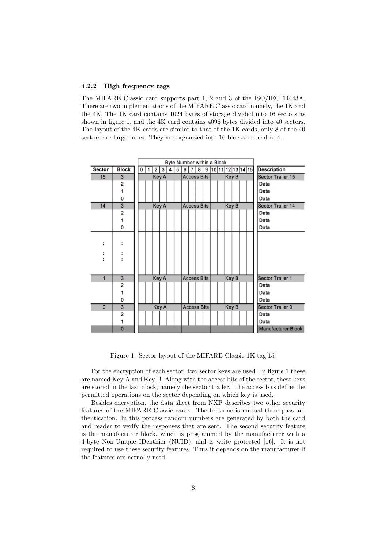#### 4.2.2 High frequency tags

The MIFARE Classic card supports part 1, 2 and 3 of the ISO/IEC 14443A. There are two implementations of the MIFARE Classic card namely, the 1K and the 4K. The 1K card contains 1024 bytes of storage divided into 16 sectors as shown in figure 1, and the 4K card contains 4096 bytes divided into 40 sectors. The layout of the 4K cards are similar to that of the 1K cards, only 8 of the 40 sectors are larger ones. They are organized into 16 blocks instead of 4.

|               | Byte Number within a Block |   |  |   |              |   |      |                                  |                                    |                    |  |  |                    |                   |      |  |                         |
|---------------|----------------------------|---|--|---|--------------|---|------|----------------------------------|------------------------------------|--------------------|--|--|--------------------|-------------------|------|--|-------------------------|
| <b>Sector</b> | <b>Block</b>               | 0 |  | 2 | 3            | 4 | 5    | 8 9 10 11 12 13 14 15<br>6 <br>7 |                                    |                    |  |  | <b>Description</b> |                   |      |  |                         |
| 15            | 3                          |   |  |   | Key A        |   |      |                                  | <b>Access Bits</b><br>Key B        |                    |  |  | Sector Trailer 15  |                   |      |  |                         |
|               | 2                          |   |  |   |              |   |      |                                  |                                    |                    |  |  |                    |                   |      |  | Data                    |
|               | 1                          |   |  |   |              |   |      |                                  |                                    |                    |  |  |                    |                   |      |  | Data                    |
|               | 0                          |   |  |   |              |   |      |                                  |                                    |                    |  |  |                    |                   |      |  | Data                    |
| 14            | 3                          |   |  |   | <b>Key A</b> |   |      |                                  | <b>Key B</b><br><b>Access Bits</b> |                    |  |  |                    | Sector Trailer 14 |      |  |                         |
|               | 2                          |   |  |   |              |   |      |                                  |                                    |                    |  |  |                    |                   |      |  | Data                    |
|               | 1                          |   |  |   |              |   |      |                                  |                                    |                    |  |  |                    |                   |      |  | Data                    |
|               | 0                          |   |  |   |              |   | Data |                                  |                                    |                    |  |  |                    |                   |      |  |                         |
|               |                            |   |  |   |              |   |      |                                  |                                    |                    |  |  |                    |                   |      |  |                         |
| ÷             | ÷                          |   |  |   |              |   |      |                                  |                                    |                    |  |  |                    |                   |      |  |                         |
| ÷             | ÷                          |   |  |   |              |   |      |                                  |                                    |                    |  |  |                    |                   |      |  |                         |
| ٠             |                            |   |  |   |              |   |      |                                  |                                    |                    |  |  |                    |                   |      |  |                         |
|               |                            |   |  |   |              |   |      |                                  |                                    |                    |  |  |                    |                   |      |  |                         |
|               |                            |   |  |   |              |   |      |                                  |                                    |                    |  |  |                    |                   |      |  |                         |
| 1             | 3                          |   |  |   | <b>Key A</b> |   |      |                                  |                                    | <b>Access Bits</b> |  |  |                    | Key B             |      |  | <b>Sector Trailer 1</b> |
|               | 2                          |   |  |   |              |   |      |                                  |                                    |                    |  |  |                    |                   |      |  | Data                    |
|               | 1                          |   |  |   |              |   |      |                                  |                                    |                    |  |  |                    |                   |      |  | Data                    |
|               | 0                          |   |  |   |              |   |      |                                  |                                    |                    |  |  |                    |                   |      |  | Data                    |
| $\mathbf{0}$  | 3                          |   |  |   | <b>Key A</b> |   |      |                                  |                                    | <b>Access Bits</b> |  |  |                    | Key B             |      |  | <b>Sector Trailer 0</b> |
|               | 2                          |   |  |   |              |   |      |                                  |                                    |                    |  |  |                    |                   | Data |  |                         |
|               | 1                          |   |  |   |              |   |      |                                  |                                    |                    |  |  |                    |                   |      |  | Data                    |
|               | $\overline{0}$             |   |  |   |              |   |      |                                  |                                    |                    |  |  |                    |                   |      |  | Manufacturer Block      |

Figure 1: Sector layout of the MIFARE Classic 1K tag[15]

For the encryption of each sector, two sector keys are used. In figure 1 these are named Key A and Key B. Along with the access bits of the sector, these keys are stored in the last block, namely the sector trailer. The access bits define the permitted operations on the sector depending on which key is used.

Besides encryption, the data sheet from NXP describes two other security features of the MIFARE Classic cards. The first one is mutual three pass authentication. In this process random numbers are generated by both the card and reader to verify the responses that are sent. The second security feature is the manufacturer block, which is programmed by the manufacturer with a 4-byte Non-Unique IDentifier (NUID), and is write protected [16]. It is not required to use these security features. Thus it depends on the manufacturer if the features are actually used.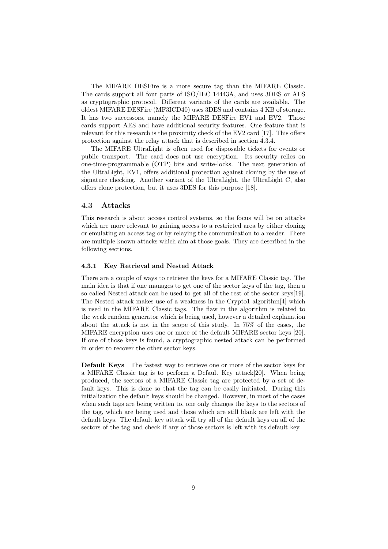The MIFARE DESFire is a more secure tag than the MIFARE Classic. The cards support all four parts of ISO/IEC 14443A, and uses 3DES or AES as cryptographic protocol. Different variants of the cards are available. The oldest MIFARE DESFire (MF3ICD40) uses 3DES and contains 4 KB of storage. It has two successors, namely the MIFARE DESFire EV1 and EV2. Those cards support AES and have additional security features. One feature that is relevant for this research is the proximity check of the EV2 card [17]. This offers protection against the relay attack that is described in section 4.3.4.

The MIFARE UltraLight is often used for disposable tickets for events or public transport. The card does not use encryption. Its security relies on one-time-programmable (OTP) bits and write-locks. The next generation of the UltraLight, EV1, offers additional protection against cloning by the use of signature checking. Another variant of the UltraLight, the UltraLight C, also offers clone protection, but it uses 3DES for this purpose [18].

#### 4.3 Attacks

This research is about access control systems, so the focus will be on attacks which are more relevant to gaining access to a restricted area by either cloning or emulating an access tag or by relaying the communication to a reader. There are multiple known attacks which aim at those goals. They are described in the following sections.

#### 4.3.1 Key Retrieval and Nested Attack

There are a couple of ways to retrieve the keys for a MIFARE Classic tag. The main idea is that if one manages to get one of the sector keys of the tag, then a so called Nested attack can be used to get all of the rest of the sector keys[19]. The Nested attack makes use of a weakness in the Crypto1 algorithm[4] which is used in the MIFARE Classic tags. The flaw in the algorithm is related to the weak random generator which is being used, however a detailed explanation about the attack is not in the scope of this study. In 75% of the cases, the MIFARE encryption uses one or more of the default MIFARE sector keys [20]. If one of those keys is found, a cryptographic nested attack can be performed in order to recover the other sector keys.

Default Keys The fastest way to retrieve one or more of the sector keys for a MIFARE Classic tag is to perform a Default Key attack[20]. When being produced, the sectors of a MIFARE Classic tag are protected by a set of default keys. This is done so that the tag can be easily initiated. During this initialization the default keys should be changed. However, in most of the cases when such tags are being written to, one only changes the keys to the sectors of the tag, which are being used and those which are still blank are left with the default keys. The default key attack will try all of the default keys on all of the sectors of the tag and check if any of those sectors is left with its default key.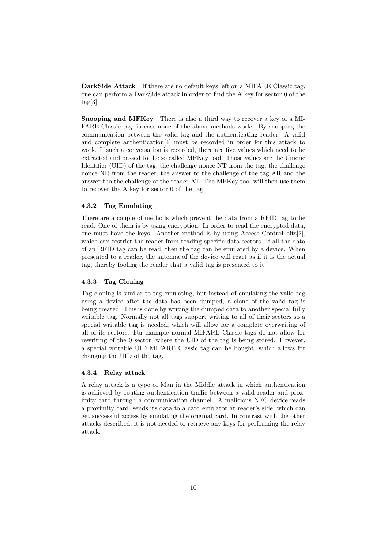DarkSide Attack If there are no default keys left on a MIFARE Classic tag, one can perform a DarkSide attack in order to find the A key for sector 0 of the  $tag[3]$ .

Snooping and MFKey There is also a third way to recover a key of a MI-FARE Classic tag, in case none of the above methods works. By snooping the communication between the valid tag and the authenticating reader. A valid and complete authentication[4] must be recorded in order for this attack to work. If such a conversation is recorded, there are five values which need to be extracted and passed to the so called MFKey tool. Those values are the Unique Identifier (UID) of the tag, the challenge nonce NT from the tag, the challenge nonce NR from the reader, the answer to the challenge of the tag AR and the answer tho the challenge of the reader AT. The MFKey tool will then use them to recover the A key for sector 0 of the tag.

#### 4.3.2 Tag Emulating

There are a couple of methods which prevent the data from a RFID tag to be read. One of them is by using encryption. In order to read the encrypted data, one must have the keys. Another method is by using Access Control bits[2], which can restrict the reader from reading specific data sectors. If all the data of an RFID tag can be read, then the tag can be emulated by a device. When presented to a reader, the antenna of the device will react as if it is the actual tag, thereby fooling the reader that a valid tag is presented to it.

#### 4.3.3 Tag Cloning

Tag cloning is similar to tag emulating, but instead of emulating the valid tag using a device after the data has been dumped, a clone of the valid tag is being created. This is done by writing the dumped data to another special fully writable tag. Normally not all tags support writing to all of their sectors so a special writable tag is needed, which will allow for a complete overwriting of all of its sectors. For example normal MIFARE Classic tags do not allow for rewriting of the 0 sector, where the UID of the tag is being stored. However, a special writable UID MIFARE Classic tag can be bought, which allows for changing the UID of the tag.

#### 4.3.4 Relay attack

A relay attack is a type of Man in the Middle attack in which authentication is achieved by routing authentication traffic between a valid reader and proximity card through a communication channel. A malicious NFC device reads a proximity card, sends its data to a card emulator at reader's side, which can get successful access by emulating the original card. In contrast with the other attacks described, it is not needed to retrieve any keys for performing the relay attack.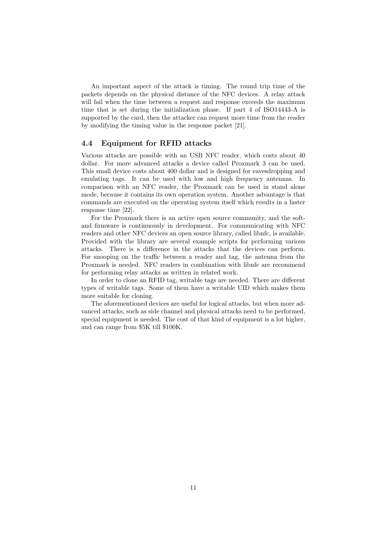An important aspect of the attack is timing. The round trip time of the packets depends on the physical distance of the NFC devices. A relay attack will fail when the time between a request and response exceeds the maximum time that is set during the initialization phase. If part 4 of ISO14443-A is supported by the card, then the attacker can request more time from the reader by modifying the timing value in the response packet [21].

# 4.4 Equipment for RFID attacks

Various attacks are possible with an USB NFC reader, which costs about 40 dollar. For more advanced attacks a device called Proxmark 3 can be used. This small device costs about 400 dollar and is designed for eavesdropping and emulating tags. It can be used with low and high frequency antennas. In comparison with an NFC reader, the Proxmark can be used in stand alone mode, because it contains its own operation system. Another advantage is that commands are executed on the operating system itself which results in a faster response time [22].

For the Proxmark there is an active open source community, and the softand firmware is continuously in development. For communicating with NFC readers and other NFC devices an open source library, called libnfc, is available. Provided with the library are several example scripts for performing various attacks. There is a difference in the attacks that the devices can perform. For snooping on the traffic between a reader and tag, the antenna from the Proxmark is needed. NFC readers in combination with libnfc are recommend for performing relay attacks as written in related work.

In order to clone an RFID tag, writable tags are needed. There are different types of writable tags. Some of them have a writable UID which makes them more suitable for cloning.

The aforementioned devices are useful for logical attacks, but when more advanced attacks, such as side channel and physical attacks need to be performed, special equipment is needed. The cost of that kind of equipment is a lot higher, and can range from \$5K till \$100K.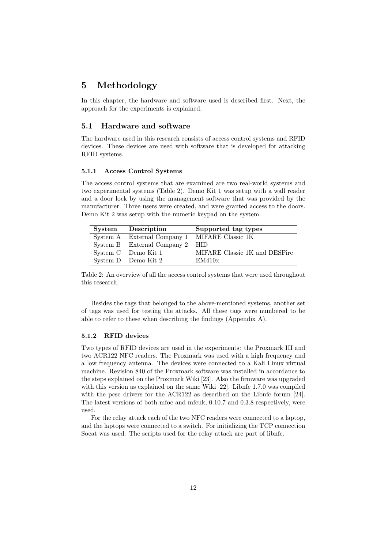# 5 Methodology

In this chapter, the hardware and software used is described first. Next, the approach for the experiments is explained.

### 5.1 Hardware and software

The hardware used in this research consists of access control systems and RFID devices. These devices are used with software that is developed for attacking RFID systems.

#### 5.1.1 Access Control Systems

The access control systems that are examined are two real-world systems and two experimental systems (Table 2). Demo Kit 1 was setup with a wall reader and a door lock by using the management software that was provided by the manufacturer. Three users were created, and were granted access to the doors. Demo Kit 2 was setup with the numeric keypad on the system.

| System Description                            | Supported tag types           |
|-----------------------------------------------|-------------------------------|
| System A External Company 1 MIFARE Classic 1K |                               |
| System B External Company 2 HID               |                               |
| System C Demo Kit 1                           | MIFARE Classic 1K and DESFire |
| System D Demo Kit 2                           | EM410x                        |

Table 2: An overview of all the access control systems that were used throughout this research.

Besides the tags that belonged to the above-mentioned systems, another set of tags was used for testing the attacks. All these tags were numbered to be able to refer to these when describing the findings (Appendix A).

#### 5.1.2 RFID devices

Two types of RFID devices are used in the experiments: the Proxmark III and two ACR122 NFC readers. The Proxmark was used with a high frequency and a low frequency antenna. The devices were connected to a Kali Linux virtual machine. Revision 840 of the Proxmark software was installed in accordance to the steps explained on the Proxmark Wiki [23]. Also the firmware was upgraded with this version as explained on the same Wiki [22]. Libnfc 1.7.0 was compiled with the pcsc drivers for the ACR122 as described on the Libnfc forum [24]. The latest versions of both mfoc and mfcuk, 0.10.7 and 0.3.8 respectively, were used.

For the relay attack each of the two NFC readers were connected to a laptop, and the laptops were connected to a switch. For initializing the TCP connection Socat was used. The scripts used for the relay attack are part of libnfc.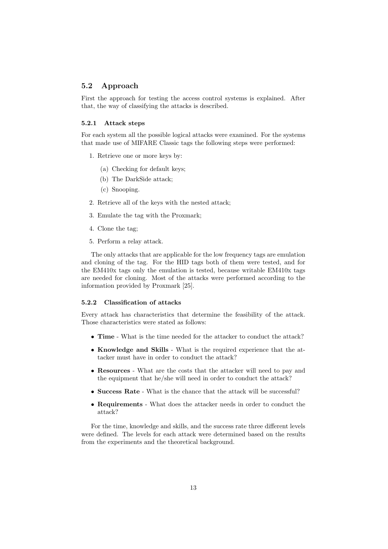### 5.2 Approach

First the approach for testing the access control systems is explained. After that, the way of classifying the attacks is described.

#### 5.2.1 Attack steps

For each system all the possible logical attacks were examined. For the systems that made use of MIFARE Classic tags the following steps were performed:

- 1. Retrieve one or more keys by:
	- (a) Checking for default keys;
	- (b) The DarkSide attack;
	- (c) Snooping.
- 2. Retrieve all of the keys with the nested attack;
- 3. Emulate the tag with the Proxmark;
- 4. Clone the tag;
- 5. Perform a relay attack.

The only attacks that are applicable for the low frequency tags are emulation and cloning of the tag. For the HID tags both of them were tested, and for the EM410x tags only the emulation is tested, because writable EM410x tags are needed for cloning. Most of the attacks were performed according to the information provided by Proxmark [25].

#### 5.2.2 Classification of attacks

Every attack has characteristics that determine the feasibility of the attack. Those characteristics were stated as follows:

- Time What is the time needed for the attacker to conduct the attack?
- Knowledge and Skills What is the required experience that the attacker must have in order to conduct the attack?
- Resources What are the costs that the attacker will need to pay and the equipment that he/she will need in order to conduct the attack?
- Success Rate What is the chance that the attack will be successful?
- Requirements What does the attacker needs in order to conduct the attack?

For the time, knowledge and skills, and the success rate three different levels were defined. The levels for each attack were determined based on the results from the experiments and the theoretical background.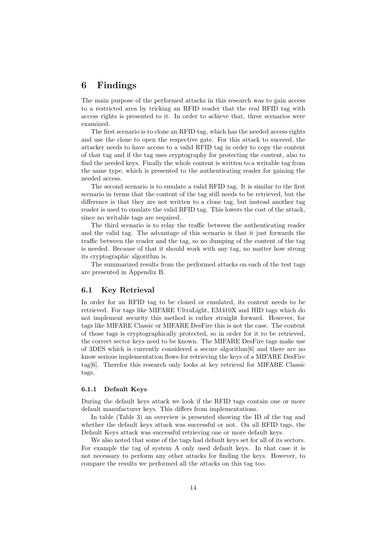# 6 Findings

The main purpose of the performed attacks in this research was to gain access to a restricted area by tricking an RFID reader that the real RFID tag with access rights is presented to it. In order to achieve that, three scenarios were examined.

The first scenario is to clone an RFID tag, which has the needed access rights and use the clone to open the respective gate. For this attack to succeed, the attacker needs to have access to a valid RFID tag in order to copy the content of that tag and if the tag uses cryptography for protecting the content, also to find the needed keys. Finally the whole content is written to a writable tag from the same type, which is presented to the authenticating reader for gaining the needed access.

The second scenario is to emulate a valid RFID tag. It is similar to the first scenario in terms that the content of the tag still needs to be retrieved, but the difference is that they are not written to a clone tag, but instead another tag reader is used to emulate the valid RFID tag. This lowers the cost of the attack, since no writable tags are required.

The third scenario is to relay the traffic between the authenticating reader and the valid tag. The advantage of this scenario is that it just forwards the traffic between the reader and the tag, so no dumping of the content of the tag is needed. Because of that it should work with any tag, no matter how strong its cryptographic algorithm is.

The summarized results from the performed attacks on each of the test tags are presented in Appendix B.

## 6.1 Key Retrieval

In order for an RFID tag to be cloned or emulated, its content needs to be retrieved. For tags like MIFARE UltraLight, EM410X and HID tags which do not implement security this method is rather straight forward. However, for tags like MIFARE Classic or MIFARE DesFire this is not the case. The content of those tags is cryptographically protected, so in order for it to be retrieved, the correct sector keys need to be known. The MIFARE DesFire tags make use of 3DES which is currently considered a secure algorithm[6] and there are no know serious implementation flows for retrieving the keys of a MIFARE DesFire tag[6]. Therefor this research only looks at key retrieval for MIFARE Classic tags.

#### 6.1.1 Default Keys

During the default keys attack we look if the RFID tags contain one or more default manufacturer keys. This differs from implementations.

In table (Table 3) an overview is presented showing the ID of the tag and whether the default keys attack was successful or not. On all RFID tags, the Default Keys attack was successful retrieving one or more default keys.

We also noted that some of the tags had default keys set for all of its sectors. For example the tag of system A only used default keys. In that case it is not necessary to perform any other attacks for finding the keys. However, to compare the results we performed all the attacks on this tag too.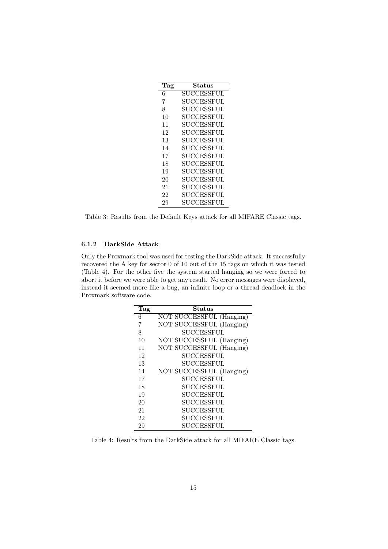| Tag | Status            |
|-----|-------------------|
| 6   | SUCCESSFUL        |
| 7   | SUCCESSFUL        |
| 8   | SUCCESSFUL        |
| 10  | SUCCESSFUL        |
| 11  | SUCCESSFUL        |
| 12  | SUCCESSFUL        |
| 13  | SUCCESSFUL        |
| 14  | SUCCESSFUL        |
| 17  | SUCCESSFUL        |
| 18  | SUCCESSFUL        |
| 19  | <b>SUCCESSFUL</b> |
| 20  | SUCCESSFUL        |
| 21  | SUCCESSFUL        |
| 22  | SUCCESSFUL        |
| 29  | SUCCESSFUL        |

Table 3: Results from the Default Keys attack for all MIFARE Classic tags.

## 6.1.2 DarkSide Attack

Only the Proxmark tool was used for testing the DarkSide attack. It successfully recovered the A key for sector 0 of 10 out of the 15 tags on which it was tested (Table 4). For the other five the system started hanging so we were forced to abort it before we were able to get any result. No error messages were displayed, instead it seemed more like a bug, an infinite loop or a thread deadlock in the Proxmark software code.

| Tag | Status                   |
|-----|--------------------------|
| 6   | NOT SUCCESSFUL (Hanging) |
| 7   | NOT SUCCESSFUL (Hanging) |
| 8   | <b>SUCCESSFUL</b>        |
| 10  | NOT SUCCESSFUL (Hanging) |
| 11  | NOT SUCCESSFUL (Hanging) |
| 12  | SUCCESSFUL               |
| 13  | <b>SUCCESSFUL</b>        |
| 14  | NOT SUCCESSFUL (Hanging) |
| 17  | SUCCESSFUL               |
| 18  | <b>SUCCESSFUL</b>        |
| 19  | <b>SUCCESSFUL</b>        |
| 20  | SUCCESSFUL               |
| 21  | <b>SUCCESSFUL</b>        |
| 22  | <b>SUCCESSFUL</b>        |
| 29  | SUCCESSFUL               |

Table 4: Results from the DarkSide attack for all MIFARE Classic tags.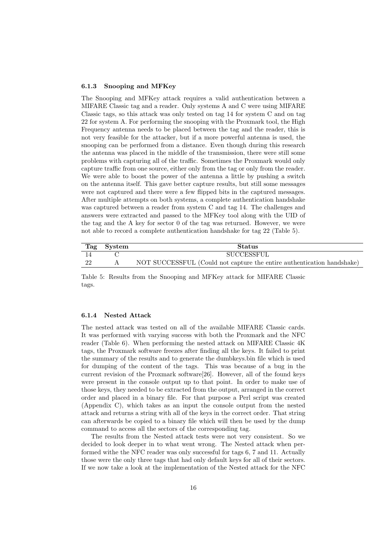#### 6.1.3 Snooping and MFKey

The Snooping and MFKey attack requires a valid authentication between a MIFARE Classic tag and a reader. Only systems A and C were using MIFARE Classic tags, so this attack was only tested on tag 14 for system C and on tag 22 for system A. For performing the snooping with the Proxmark tool, the High Frequency antenna needs to be placed between the tag and the reader, this is not very feasible for the attacker, but if a more powerful antenna is used, the snooping can be performed from a distance. Even though during this research the antenna was placed in the middle of the transmission, there were still some problems with capturing all of the traffic. Sometimes the Proxmark would only capture traffic from one source, either only from the tag or only from the reader. We were able to boost the power of the antenna a little by pushing a switch on the antenna itself. This gave better capture results, but still some messages were not captured and there were a few flipped bits in the captured messages. After multiple attempts on both systems, a complete authentication handshake was captured between a reader from system C and tag 14. The challenges and answers were extracted and passed to the MFKey tool along with the UID of the tag and the A key for sector 0 of the tag was returned. However, we were not able to record a complete authentication handshake for tag 22 (Table 5).

|    | Tag System | <b>Status</b>                                                          |
|----|------------|------------------------------------------------------------------------|
|    |            | SUCCESSFUL                                                             |
| 22 |            | NOT SUCCESSFUL (Could not capture the entire authentication handshake) |

Table 5: Results from the Snooping and MFKey attack for MIFARE Classic tags.

#### 6.1.4 Nested Attack

The nested attack was tested on all of the available MIFARE Classic cards. It was performed with varying success with both the Proxmark and the NFC reader (Table 6). When performing the nested attack on MIFARE Classic 4K tags, the Proxmark software freezes after finding all the keys. It failed to print the summary of the results and to generate the dumbkeys.bin file which is used for dumping of the content of the tags. This was because of a bug in the current revision of the Proxmark software[26]. However, all of the found keys were present in the console output up to that point. In order to make use of those keys, they needed to be extracted from the output, arranged in the correct order and placed in a binary file. For that purpose a Perl script was created (Appendix C), which takes as an input the console output from the nested attack and returns a string with all of the keys in the correct order. That string can afterwards be copied to a binary file which will then be used by the dump command to access all the sectors of the corresponding tag.

The results from the Nested attack tests were not very consistent. So we decided to look deeper in to what went wrong. The Nested attack when performed withe the NFC reader was only successful for tags 6, 7 and 11. Actually those were the only three tags that had only default keys for all of their sectors. If we now take a look at the implementation of the Nested attack for the NFC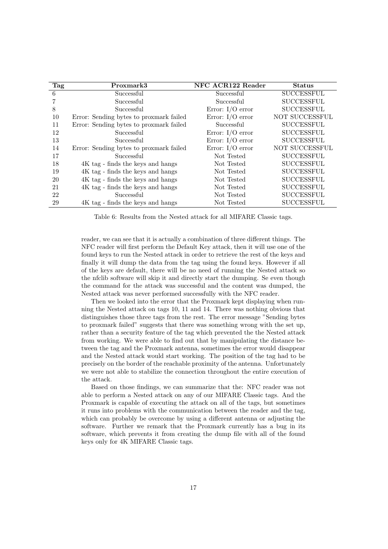| Tag | Proxmark3                               | NFC ACR122 Reader  | <b>Status</b>     |
|-----|-----------------------------------------|--------------------|-------------------|
| 6   | Successful                              | Successful         | <b>SUCCESSFUL</b> |
|     | Successful                              | Successful         | <b>SUCCESSFUL</b> |
| 8   | Successful                              | Error: $I/O$ error | <b>SUCCESSFUL</b> |
| 10  | Error: Sending bytes to proxmark failed | Error: $I/O$ error | NOT SUCCESSFUL    |
| 11  | Error: Sending bytes to proxmark failed | Successful         | <b>SUCCESSFUL</b> |
| 12  | Successful                              | Error: $I/O$ error | $\rm SUCCESSFUL$  |
| 13  | Successful                              | Error: $I/O$ error | <b>SUCCESSFUL</b> |
| 14  | Error: Sending bytes to proxmark failed | Error: $I/O$ error | NOT SUCCESSFUL    |
| 17  | Successful                              | Not Tested         | <b>SUCCESSFUL</b> |
| 18  | 4K tag - finds the keys and hangs       | Not Tested         | <b>SUCCESSFUL</b> |
| 19  | 4K tag - finds the keys and hangs       | Not Tested         | <b>SUCCESSFUL</b> |
| 20  | 4K tag - finds the keys and hangs       | Not Tested         | <b>SUCCESSFUL</b> |
| 21  | 4K tag - finds the keys and hangs       | Not Tested         | <b>SUCCESSFUL</b> |
| 22  | Successful                              | Not Tested         | <b>SUCCESSFUL</b> |
| 29  | 4K tag - finds the keys and hangs       | Not Tested         | $\rm SUCCESSFUL$  |

Table 6: Results from the Nested attack for all MIFARE Classic tags.

reader, we can see that it is actually a combination of three different things. The NFC reader will first perform the Default Key attack, then it will use one of the found keys to run the Nested attack in order to retrieve the rest of the keys and finally it will dump the data from the tag using the found keys. However if all of the keys are default, there will be no need of running the Nested attack so the nfclib software will skip it and directly start the dumping. Se even though the command for the attack was successful and the content was dumped, the Nested attack was never performed successfully with the NFC reader.

Then we looked into the error that the Proxmark kept displaying when running the Nested attack on tags 10, 11 and 14. There was nothing obvious that distinguishes those three tags from the rest. The error message "Sending bytes to proxmark failed" suggests that there was something wrong with the set up, rather than a security feature of the tag which prevented the the Nested attack from working. We were able to find out that by manipulating the distance between the tag and the Proxmark antenna, sometimes the error would disappear and the Nested attack would start working. The position of the tag had to be precisely on the border of the reachable proximity of the antenna. Unfortunately we were not able to stabilize the connection throughout the entire execution of the attack.

Based on those findings, we can summarize that the: NFC reader was not able to perform a Nested attack on any of our MIFARE Classic tags. And the Proxmark is capable of executing the attack on all of the tags, but sometimes it runs into problems with the communication between the reader and the tag, which can probably be overcome by using a different antenna or adjusting the software. Further we remark that the Proxmark currently has a bug in its software, which prevents it from creating the dump file with all of the found keys only for 4K MIFARE Classic tags.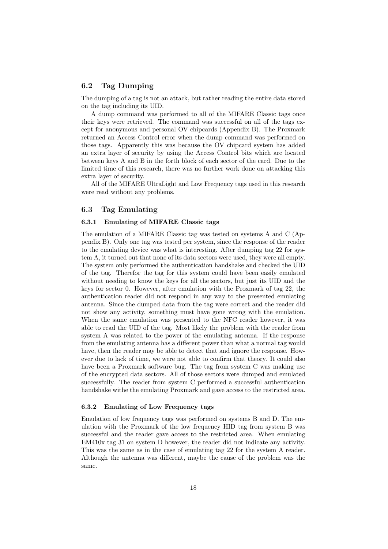## 6.2 Tag Dumping

The dumping of a tag is not an attack, but rather reading the entire data stored on the tag including its UID.

A dump command was performed to all of the MIFARE Classic tags once their keys were retrieved. The command was successful on all of the tags except for anonymous and personal OV chipcards (Appendix B). The Proxmark returned an Access Control error when the dump command was performed on those tags. Apparently this was because the OV chipcard system has added an extra layer of security by using the Access Control bits which are located between keys A and B in the forth block of each sector of the card. Due to the limited time of this research, there was no further work done on attacking this extra layer of security.

All of the MIFARE UltraLight and Low Frequency tags used in this research were read without any problems.

## 6.3 Tag Emulating

#### 6.3.1 Emulating of MIFARE Classic tags

The emulation of a MIFARE Classic tag was tested on systems A and C (Appendix B). Only one tag was tested per system, since the response of the reader to the emulating device was what is interesting. After dumping tag 22 for system A, it turned out that none of its data sectors were used, they were all empty. The system only performed the authentication handshake and checked the UID of the tag. Therefor the tag for this system could have been easily emulated without needing to know the keys for all the sectors, but just its UID and the keys for sector 0. However, after emulation with the Proxmark of tag 22, the authentication reader did not respond in any way to the presented emulating antenna. Since the dumped data from the tag were correct and the reader did not show any activity, something must have gone wrong with the emulation. When the same emulation was presented to the NFC reader however, it was able to read the UID of the tag. Most likely the problem with the reader from system A was related to the power of the emulating antenna. If the response from the emulating antenna has a different power than what a normal tag would have, then the reader may be able to detect that and ignore the response. However due to lack of time, we were not able to confirm that theory. It could also have been a Proxmark software bug. The tag from system C was making use of the encrypted data sectors. All of those sectors were dumped and emulated successfully. The reader from system C performed a successful authentication handshake withe the emulating Proxmark and gave access to the restricted area.

#### 6.3.2 Emulating of Low Frequency tags

Emulation of low frequency tags was performed on systems B and D. The emulation with the Proxmark of the low frequency HID tag from system B was successful and the reader gave access to the restricted area. When emulating EM410x tag 31 on system D however, the reader did not indicate any activity. This was the same as in the case of emulating tag 22 for the system A reader. Although the antenna was different, maybe the cause of the problem was the same.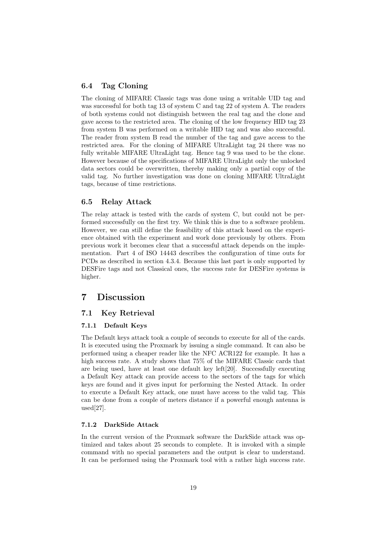## 6.4 Tag Cloning

The cloning of MIFARE Classic tags was done using a writable UID tag and was successful for both tag 13 of system C and tag 22 of system A. The readers of both systems could not distinguish between the real tag and the clone and gave access to the restricted area. The cloning of the low frequency HID tag 23 from system B was performed on a writable HID tag and was also successful. The reader from system B read the number of the tag and gave access to the restricted area. For the cloning of MIFARE UltraLight tag 24 there was no fully writable MIFARE UltraLight tag. Hence tag 9 was used to be the clone. However because of the specifications of MIFARE UltraLight only the unlocked data sectors could be overwritten, thereby making only a partial copy of the valid tag. No further investigation was done on cloning MIFARE UltraLight tags, because of time restrictions.

## 6.5 Relay Attack

The relay attack is tested with the cards of system C, but could not be performed successfully on the first try. We think this is due to a software problem. However, we can still define the feasibility of this attack based on the experience obtained with the experiment and work done previously by others. From previous work it becomes clear that a successful attack depends on the implementation. Part 4 of ISO 14443 describes the configuration of time outs for PCDs as described in section 4.3.4. Because this last part is only supported by DESFire tags and not Classical ones, the success rate for DESFire systems is higher.

# 7 Discussion

## 7.1 Key Retrieval

### 7.1.1 Default Keys

The Default keys attack took a couple of seconds to execute for all of the cards. It is executed using the Proxmark by issuing a single command. It can also be performed using a cheaper reader like the NFC ACR122 for example. It has a high success rate. A study shows that 75% of the MIFARE Classic cards that are being used, have at least one default key left[20]. Successfully executing a Default Key attack can provide access to the sectors of the tags for which keys are found and it gives input for performing the Nested Attack. In order to execute a Default Key attack, one must have access to the valid tag. This can be done from a couple of meters distance if a powerful enough antenna is used[27].

## 7.1.2 DarkSide Attack

In the current version of the Proxmark software the DarkSide attack was optimized and takes about 25 seconds to complete. It is invoked with a simple command with no special parameters and the output is clear to understand. It can be performed using the Proxmark tool with a rather high success rate.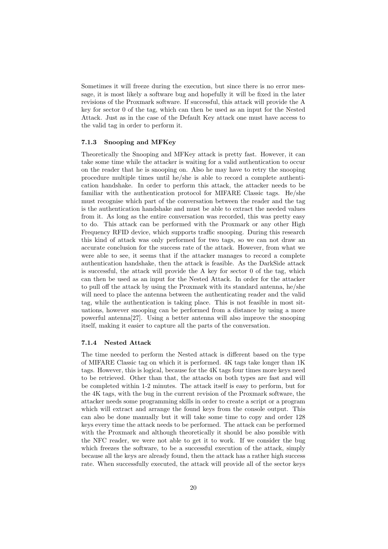Sometimes it will freeze during the execution, but since there is no error message, it is most likely a software bug and hopefully it will be fixed in the later revisions of the Proxmark software. If successful, this attack will provide the A key for sector 0 of the tag, which can then be used as an input for the Nested Attack. Just as in the case of the Default Key attack one must have access to the valid tag in order to perform it.

#### 7.1.3 Snooping and MFKey

Theoretically the Snooping and MFKey attack is pretty fast. However, it can take some time while the attacker is waiting for a valid authentication to occur on the reader that he is snooping on. Also he may have to retry the snooping procedure multiple times until he/she is able to record a complete authentication handshake. In order to perform this attack, the attacker needs to be familiar with the authentication protocol for MIFARE Classic tags. He/she must recognise which part of the conversation between the reader and the tag is the authentication handshake and must be able to extract the needed values from it. As long as the entire conversation was recorded, this was pretty easy to do. This attack can be performed with the Proxmark or any other High Frequency RFID device, which supports traffic snooping. During this research this kind of attack was only performed for two tags, so we can not draw an accurate conclusion for the success rate of the attack. However, from what we were able to see, it seems that if the attacker manages to record a complete authentication handshake, then the attack is feasible. As the DarkSide attack is successful, the attack will provide the A key for sector 0 of the tag, which can then be used as an input for the Nested Attack. In order for the attacker to pull off the attack by using the Proxmark with its standard antenna, he/she will need to place the antenna between the authenticating reader and the valid tag, while the authentication is taking place. This is not feasible in most situations, however snooping can be performed from a distance by using a more powerful antenna[27]. Using a better antenna will also improve the snooping itself, making it easier to capture all the parts of the conversation.

#### 7.1.4 Nested Attack

The time needed to perform the Nested attack is different based on the type of MIFARE Classic tag on which it is performed. 4K tags take longer than 1K tags. However, this is logical, because for the 4K tags four times more keys need to be retrieved. Other than that, the attacks on both types are fast and will be completed within 1-2 minutes. The attack itself is easy to perform, but for the 4K tags, with the bug in the current revision of the Proxmark software, the attacker needs some programming skills in order to create a script or a program which will extract and arrange the found keys from the console output. This can also be done manually but it will take some time to copy and order 128 keys every time the attack needs to be performed. The attack can be performed with the Proxmark and although theoretically it should be also possible with the NFC reader, we were not able to get it to work. If we consider the bug which freezes the software, to be a successful execution of the attack, simply because all the keys are already found, then the attack has a rather high success rate. When successfully executed, the attack will provide all of the sector keys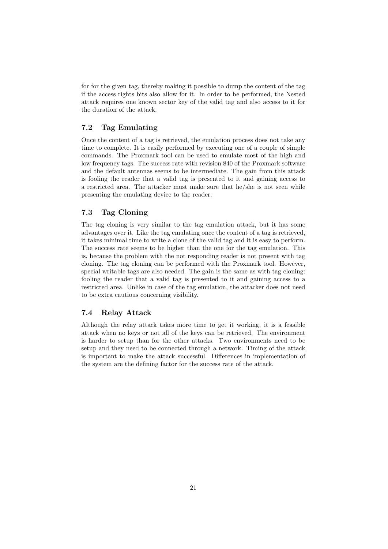for for the given tag, thereby making it possible to dump the content of the tag if the access rights bits also allow for it. In order to be performed, the Nested attack requires one known sector key of the valid tag and also access to it for the duration of the attack.

# 7.2 Tag Emulating

Once the content of a tag is retrieved, the emulation process does not take any time to complete. It is easily performed by executing one of a couple of simple commands. The Proxmark tool can be used to emulate most of the high and low frequency tags. The success rate with revision 840 of the Proxmark software and the default antennas seems to be intermediate. The gain from this attack is fooling the reader that a valid tag is presented to it and gaining access to a restricted area. The attacker must make sure that he/she is not seen while presenting the emulating device to the reader.

## 7.3 Tag Cloning

The tag cloning is very similar to the tag emulation attack, but it has some advantages over it. Like the tag emulating once the content of a tag is retrieved, it takes minimal time to write a clone of the valid tag and it is easy to perform. The success rate seems to be higher than the one for the tag emulation. This is, because the problem with the not responding reader is not present with tag cloning. The tag cloning can be performed with the Proxmark tool. However, special writable tags are also needed. The gain is the same as with tag cloning: fooling the reader that a valid tag is presented to it and gaining access to a restricted area. Unlike in case of the tag emulation, the attacker does not need to be extra cautious concerning visibility.

## 7.4 Relay Attack

Although the relay attack takes more time to get it working, it is a feasible attack when no keys or not all of the keys can be retrieved. The environment is harder to setup than for the other attacks. Two environments need to be setup and they need to be connected through a network. Timing of the attack is important to make the attack successful. Differences in implementation of the system are the defining factor for the success rate of the attack.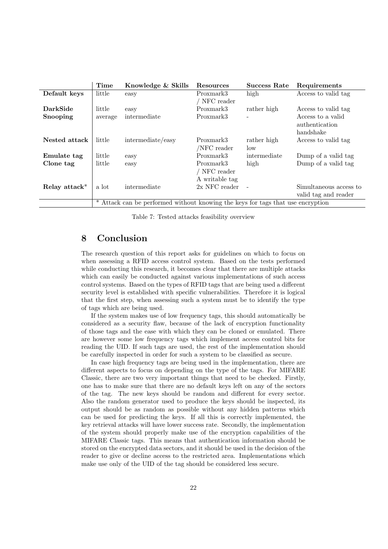|               | Time    | Knowledge & Skills                                                            | Resources                                 | <b>Success Rate</b> | Requirements                                     |
|---------------|---------|-------------------------------------------------------------------------------|-------------------------------------------|---------------------|--------------------------------------------------|
| Default keys  | little  | easy                                                                          | Proxmark3                                 | high                | Access to valid tag                              |
|               |         |                                                                               | NFC reader                                |                     |                                                  |
| DarkSide      | little  | easy                                                                          | Proxmark3                                 | rather high         | Access to valid tag                              |
| Snooping      | average | intermediate                                                                  | Proxmark3                                 |                     | Access to a valid<br>authentication<br>handshake |
| Nested attack | little  | intermediate/easy                                                             | Proxmark3<br>/NFC reader                  | rather high<br>low  | Access to valid tag                              |
| Emulate tag   | little  | easy                                                                          | Proxmark3                                 | intermediate        | Dump of a valid tag                              |
| Clone tag     | little  | easy                                                                          | Proxmark3<br>NFC reader<br>A writable tag | high                | Dump of a valid tag                              |
| Relay attack* | a lot   | intermediate                                                                  | $2x$ NFC reader                           |                     | Simultaneous access to<br>valid tag and reader   |
|               |         | Attack can be performed without knowing the keys for tags that use encryption |                                           |                     |                                                  |

Table 7: Tested attacks feasibility overview

# 8 Conclusion

The research question of this report asks for guidelines on which to focus on when assessing a RFID access control system. Based on the tests performed while conducting this research, it becomes clear that there are multiple attacks which can easily be conducted against various implementations of such access control systems. Based on the types of RFID tags that are being used a different security level is established with specific vulnerabilities. Therefore it is logical that the first step, when assessing such a system must be to identify the type of tags which are being used.

If the system makes use of low frequency tags, this should automatically be considered as a security flaw, because of the lack of encryption functionality of those tags and the ease with which they can be cloned or emulated. There are however some low frequency tags which implement access control bits for reading the UID. If such tags are used, the rest of the implementation should be carefully inspected in order for such a system to be classified as secure.

In case high frequency tags are being used in the implementation, there are different aspects to focus on depending on the type of the tags. For MIFARE Classic, there are two very important things that need to be checked. Firstly, one has to make sure that there are no default keys left on any of the sectors of the tag. The new keys should be random and different for every sector. Also the random generator used to produce the keys should be inspected, its output should be as random as possible without any hidden patterns which can be used for predicting the keys. If all this is correctly implemented, the key retrieval attacks will have lower success rate. Secondly, the implementation of the system should properly make use of the encryption capabilities of the MIFARE Classic tags. This means that authentication information should be stored on the encrypted data sectors, and it should be used in the decision of the reader to give or decline access to the restricted area. Implementations which make use only of the UID of the tag should be considered less secure.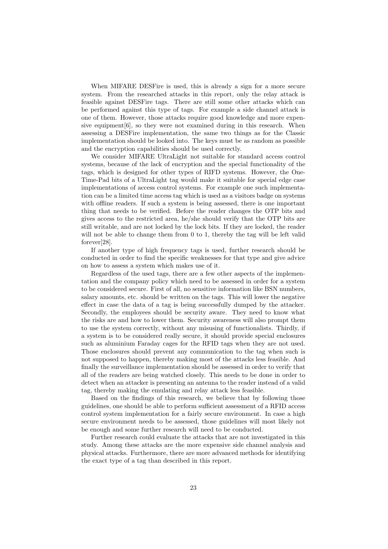When MIFARE DESFire is used, this is already a sign for a more secure system. From the researched attacks in this report, only the relay attack is feasible against DESFire tags. There are still some other attacks which can be performed against this type of tags. For example a side channel attack is one of them. However, those attacks require good knowledge and more expensive equipment  $[6]$ , so they were not examined during in this research. When assessing a DESFire implementation, the same two things as for the Classic implementation should be looked into. The keys must be as random as possible and the encryption capabilities should be used correctly.

We consider MIFARE UltraLight not suitable for standard access control systems, because of the lack of encryption and the special functionality of the tags, which is designed for other types of RIFD systems. However, the One-Time-Pad bits of a UltraLight tag would make it suitable for special edge case implementations of access control systems. For example one such implementation can be a limited time access tag which is used as a visitors badge on systems with offline readers. If such a system is being assessed, there is one important thing that needs to be verified. Before the reader changes the OTP bits and gives access to the restricted area, he/she should verify that the OTP bits are still writable, and are not locked by the lock bits. If they are locked, the reader will not be able to change them from 0 to 1, thereby the tag will be left valid forever[28].

If another type of high frequency tags is used, further research should be conducted in order to find the specific weaknesses for that type and give advice on how to assess a system which makes use of it.

Regardless of the used tags, there are a few other aspects of the implementation and the company policy which need to be assessed in order for a system to be considered secure. First of all, no sensitive information like BSN numbers, salary amounts, etc. should be written on the tags. This will lower the negative effect in case the data of a tag is being successfully dumped by the attacker. Secondly, the employees should be security aware. They need to know what the risks are and how to lower them. Security awareness will also prompt them to use the system correctly, without any misusing of functionalists. Thirdly, if a system is to be considered really secure, it should provide special enclosures such as aluminium Faraday cages for the RFID tags when they are not used. Those enclosures should prevent any communication to the tag when such is not supposed to happen, thereby making most of the attacks less feasible. And finally the surveillance implementation should be assessed in order to verify that all of the readers are being watched closely. This needs to be done in order to detect when an attacker is presenting an antenna to the reader instead of a valid tag, thereby making the emulating and relay attack less feasible.

Based on the findings of this research, we believe that by following those guidelines, one should be able to perform sufficient assessment of a RFID access control system implementation for a fairly secure environment. In case a high secure environment needs to be assessed, those guidelines will most likely not be enough and some further research will need to be conducted.

Further research could evaluate the attacks that are not investigated in this study. Among these attacks are the more expensive side channel analysis and physical attacks. Furthermore, there are more advanced methods for identifying the exact type of a tag than described in this report.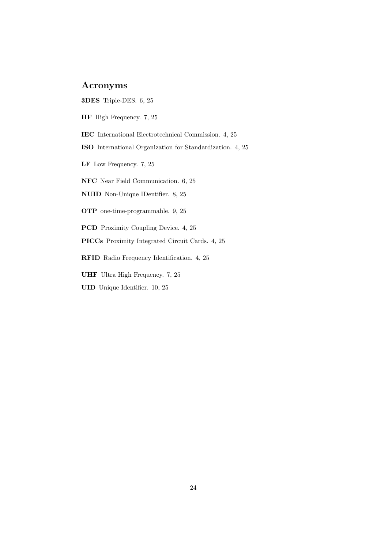# Acronyms

- 3DES Triple-DES. 6, 25
- HF High Frequency. 7, 25
- IEC International Electrotechnical Commission. 4, 25
- ISO International Organization for Standardization. 4, 25
- LF Low Frequency. 7, 25
- NFC Near Field Communication. 6, 25
- NUID Non-Unique IDentifier. 8, 25
- OTP one-time-programmable. 9, 25
- PCD Proximity Coupling Device. 4, 25
- PICCs Proximity Integrated Circuit Cards. 4, 25
- RFID Radio Frequency Identification. 4, 25
- UHF Ultra High Frequency. 7, 25
- UID Unique Identifier. 10, 25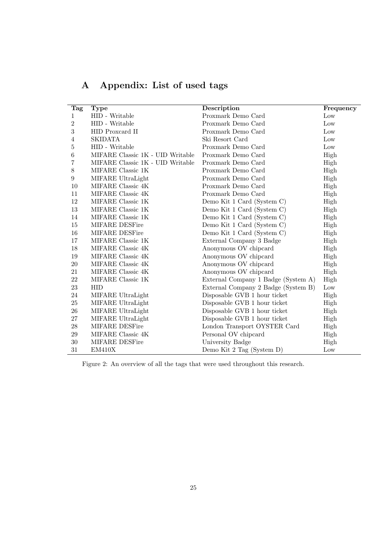| <b>Tag</b>       | <b>Type</b>                      | Description                         | Frequency |
|------------------|----------------------------------|-------------------------------------|-----------|
| 1                | HID - Writable                   | Proxmark Demo Card                  | Low       |
| $\overline{2}$   | HID - Writable                   | Proxmark Demo Card                  | Low       |
| $\sqrt{3}$       | HID Proxcard II                  | Proxmark Demo Card                  | Low       |
| 4                | <b>SKIDATA</b>                   | Ski Resort Card                     | Low       |
| $\bf 5$          | HID - Writable                   | Proxmark Demo Card                  | Low       |
| 6                | MIFARE Classic 1K - UID Writable | Proxmark Demo Card                  | High      |
| 7                | MIFARE Classic 1K - UID Writable | Proxmark Demo Card                  | High      |
| 8                | MIFARE Classic 1K                | Proxmark Demo Card                  | High      |
| $\boldsymbol{9}$ | MIFARE UltraLight                | Proxmark Demo Card                  | High      |
| 10               | MIFARE Classic 4K                | Proxmark Demo Card                  | High      |
| 11               | MIFARE Classic 4K                | Proxmark Demo Card                  | High      |
| 12               | MIFARE Classic 1K                | Demo Kit 1 Card (System C)          | High      |
| 13               | MIFARE Classic 1K                | Demo Kit 1 Card (System C)          | High      |
| 14               | MIFARE Classic 1K                | Demo Kit 1 Card (System C)          | High      |
| 15               | MIFARE DESFire                   | Demo Kit 1 Card (System C)          | High      |
| 16               | MIFARE DESFire                   | Demo Kit 1 Card (System C)          | High      |
| 17               | MIFARE Classic 1K                | External Company 3 Badge            | High      |
| 18               | MIFARE Classic 4K                | Anonymous OV chipcard               | High      |
| 19               | MIFARE Classic 4K                | Anonymous OV chipcard               | High      |
| $20\,$           | MIFARE Classic 4K                | Anonymous OV chipcard               | High      |
| 21               | MIFARE Classic 4K                | Anonymous OV chipcard               | High      |
| 22               | MIFARE Classic 1K                | External Company 1 Badge (System A) | High      |
| 23               | <b>HID</b>                       | External Company 2 Badge (System B) | Low       |
| 24               | MIFARE UltraLight                | Disposable GVB 1 hour ticket        | High      |
| 25               | MIFARE UltraLight                | Disposable GVB 1 hour ticket        | High      |
| $26\,$           | MIFARE UltraLight                | Disposable GVB 1 hour ticket        | High      |
| 27               | MIFARE UltraLight                | Disposable GVB 1 hour ticket        | High      |
| 28               | <b>MIFARE DESFire</b>            | London Transport OYSTER Card        | High      |
| 29               | MIFARE Classic 4K                | Personal OV chipcard                | High      |
| 30               | MIFARE DESFire                   | University Badge                    | High      |
| 31               | EM410X                           | Demo Kit 2 Tag (System D)           | Low       |

# A Appendix: List of used tags

Figure 2: An overview of all the tags that were used throughout this research.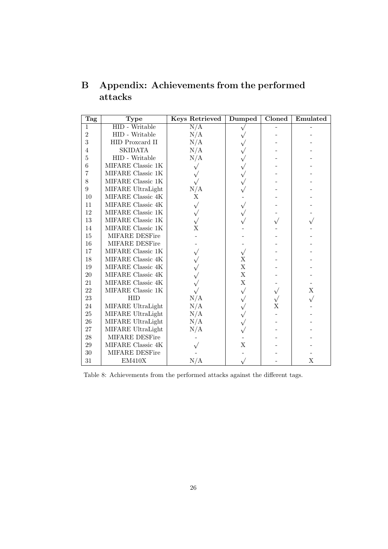| <b>Tag</b>       | <b>Type</b>                         | <b>Keys Retrieved</b> | Dumped      | Cloned | Emulated    |
|------------------|-------------------------------------|-----------------------|-------------|--------|-------------|
| $\mathbf{1}$     | <b>HID</b> - Writable               | N/A                   | $\sqrt{}$   |        |             |
| $\overline{2}$   | HID - Writable                      | N/A                   |             |        |             |
| 3                | HID Proxcard II                     | N/A                   |             |        |             |
| $\overline{4}$   | <b>SKIDATA</b>                      | N/A                   |             |        |             |
| $\bf 5$          | HID - Writable                      | N/A                   | $\sqrt{}$   |        |             |
| $\,6$            | MIFARE Classic 1K                   | $\sqrt{}$             | $\sqrt{}$   |        |             |
| 7                | $\text{MIFARE}$ Classic $1\text{K}$ |                       | $\sqrt{}$   |        |             |
| $8\,$            | MIFARE Classic 1K                   | $\sqrt{}$             | $\sqrt{}$   |        |             |
| $\boldsymbol{9}$ | MIFARE UltraLight                   | $\rm N/A$             |             |        |             |
| 10               | MIFARE Classic 4K                   | X                     |             |        |             |
| 11               | MIFARE Classic 4K                   | $\sqrt{}$             | $\sqrt{}$   |        |             |
| 12               | MIFARE Classic 1K                   | $\sqrt{}$             | $\sqrt{}$   |        |             |
| 13               | MIFARE Classic 1K                   |                       |             |        |             |
| 14               | MIFARE Classic 1K                   | X                     |             |        |             |
| 15               | <b>MIFARE DESFire</b>               |                       |             |        |             |
| 16               | MIFARE DESFire                      |                       |             |        |             |
| 17               | MIFARE Classic 1K                   |                       | $\sqrt{}$   |        |             |
| 18               | MIFARE Classic 4K                   |                       | X           |        |             |
| 19               | MIFARE Classic 4K                   |                       | $\mathbf X$ |        |             |
| $20\,$           | MIFARE Classic 4K                   |                       | $\mathbf X$ |        |             |
| 21               | MIFARE Classic 4K                   |                       | $\mathbf X$ |        |             |
| 22               | MIFARE Classic 1K                   |                       | $\sqrt{}$   |        | $\mathbf X$ |
| 23               | <b>HID</b>                          | N/A                   | $\sqrt{}$   |        |             |
| $24\,$           | MIFARE UltraLight                   | N/A                   | $\sqrt{}$   | X      |             |
| $25\,$           | MIFARE UltraLight                   | N/A                   | $\sqrt{}$   |        |             |
| 26               | MIFARE UltraLight                   | N/A                   | $\sqrt{}$   |        |             |
| $27\,$           | MIFARE UltraLight                   | N/A                   |             |        |             |
| $28\,$           | MIFARE DESFire                      |                       |             |        |             |
| 29               | MIFARE Classic 4K                   |                       | X           |        |             |
| $30\,$           | MIFARE DESFire                      |                       |             |        |             |
| 31               | EM410X                              | N/A                   |             |        | $\mathbf X$ |

# B Appendix: Achievements from the performed attacks

Table 8: Achievements from the performed attacks against the different tags.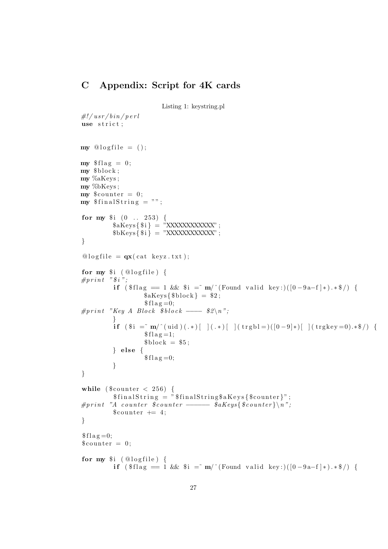# C Appendix: Script for 4K cards

Listing 1: keystring.pl

```
\#!/usr/bin/perluse strict;
my @ logfile = ();
my $ flag = 0;my \text{block};
my %aKeys ;
my %bKeys ;
my $counter = 0;
my $ \frac{1}{3} final String = "";
for my $i (0 : 253) {
           kaKeys\{ $i \} = "XXXXXXXXXX ;
           bKevs\{ fi\} = "XXXXXXXXXX ;
}
\textcircled{a} logfile = \mathbf{qx}(\text{cat } \text{keyz.txt});for my \i (Qlogfile) {
#print "$i";
           if ( \text{flag} = 1 \&\& \text{Si} = m' ^ (Found valid key : ) ([0-9a-f]*).*$/) {
                      $aKeys$block} = $2;$flag=0;
#print "Key A Block $block \longrightarrow $2\n\cdot n";
           }
           if (\hat{\mathbf{s}} i = m' (uid) (.*) [ ] (.*) [ ] (trgb1=)([0-9]*)[ ] (trgkey=0).* \ / ]
                      $flag = 1;$block = $5;\} else \{$flag=0;
           }
}
while (\text{\$counter} < 256) {
           $ \mathfrak{final} \text{String} = " \mathfrak{final} \text{String} \mathfrak{A} \text{Kevs} \{\mathfrak{S} \text{counter}\}".#print "A counter $counter \longrightarrow $aKeys{$counter}\n";
           % counter += 4;
}
$flag = 0;
% counter = 0;
for my $i (@logfile) {
           if (\text{flag} = 1 \&\text{& } \text{Si} = \text{m}/(\text{Found valid key}:)([0-9a-1]*).*\$/)
```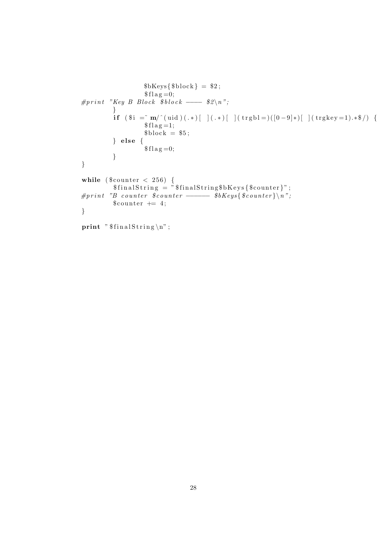```
$bKeys$block} = $2;$flag = 0;
#print "Key B Block $ block \rightarrow \&2\n";
            }
            if (\hat{\mathbf{s}}) = \hat{\mathbf{m}}' (uid)(.*) |\cdot| (.*) |\cdot| (trgbl=)([0-9]*| | (trgkey=1).*$/) {
                        $ f l a g = 1;
                        block = $5;\} else {
                         $flag=0;
            }
}
while (% counter < 256) {
             $ \mathfrak{final} \text{String} = " \mathfrak{final} \text{String\$b} \text{Keys} \{\mathfrak{K} \text{counter}\} " \ ;#print "B counter $counter \longrightarrow $bKeys{$counter}\n";
            % counter += 4;
}
print "$ \mathsf{finalString} \nightharpoonup n" ;
```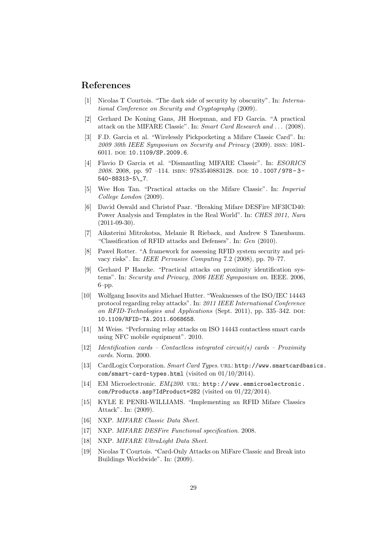# References

- [1] Nicolas T Courtois. "The dark side of security by obscurity". In: International Conference on Security and Cryptography (2009).
- [2] Gerhard De Koning Gans, JH Hoepman, and FD Garcia. "A practical attack on the MIFARE Classic". In: Smart Card Research and . . . (2008).
- [3] F.D. Garcia et al. "Wirelessly Pickpocketing a Mifare Classic Card". In: 2009 30th IEEE Symposium on Security and Privacy (2009). issn: 1081- 6011. doi: 10.1109/SP.2009.6.
- [4] Flavio D Garcia et al. "Dismantling MIFARE Classic". In: ESORICS 2008. 2008, pp. 97 -114. ISBN: 9783540883128. DOI: 10.1007/978-3-540-88313-5\\_7.
- [5] Wee Hon Tan. "Practical attacks on the Mifare Classic". In: Imperial College London (2009).
- [6] David Oswald and Christof Paar. "Breaking Mifare DESFire MF3ICD40: Power Analysis and Templates in the Real World". In: CHES 2011, Nara  $(2011-09-30)$ .
- [7] Aikaterini Mitrokotsa, Melanie R Rieback, and Andrew S Tanenbaum. "Classification of RFID attacks and Defenses". In: Gen (2010).
- [8] Pawel Rotter. "A framework for assessing RFID system security and privacy risks". In: IEEE Pervasive Computing 7.2 (2008), pp. 70–77.
- [9] Gerhard P Hancke. "Practical attacks on proximity identification systems". In: Security and Privacy, 2006 IEEE Symposium on. IEEE. 2006,  $6$ – $pp.$
- [10] Wolfgang Issovits and Michael Hutter. "Weaknesses of the ISO/IEC 14443 protocol regarding relay attacks". In: 2011 IEEE International Conference on RFID-Technologies and Applications (Sept. 2011), pp. 335-342. DOI: 10.1109/RFID-TA.2011.6068658.
- [11] M Weiss. "Performing relay attacks on ISO 14443 contactless smart cards using NFC mobile equipment". 2010.
- $[12]$  Identification cards Contactless integrated circuit(s) cards Proximity cards. Norm. 2000.
- [13] CardLogix Corporation. Smart Card Types. URL: http://www.smartcardbasics. com/smart-card-types.html (visited on 01/10/2014).
- [14] EM Microelectronic.  $EM4200$ . URL: http://www.emmicroelectronic. com/Products.asp?IdProduct=282 (visited on 01/22/2014).
- [15] KYLE E PENRI-WILLIAMS. "Implementing an RFID Mifare Classics Attack". In: (2009).
- [16] NXP. MIFARE Classic Data Sheet.
- [17] NXP. MIFARE DESFire Functional specification. 2008.
- [18] NXP. MIFARE UltraLight Data Sheet.
- [19] Nicolas T Courtois. "Card-Only Attacks on MiFare Classic and Break into Buildings Worldwide". In: (2009).